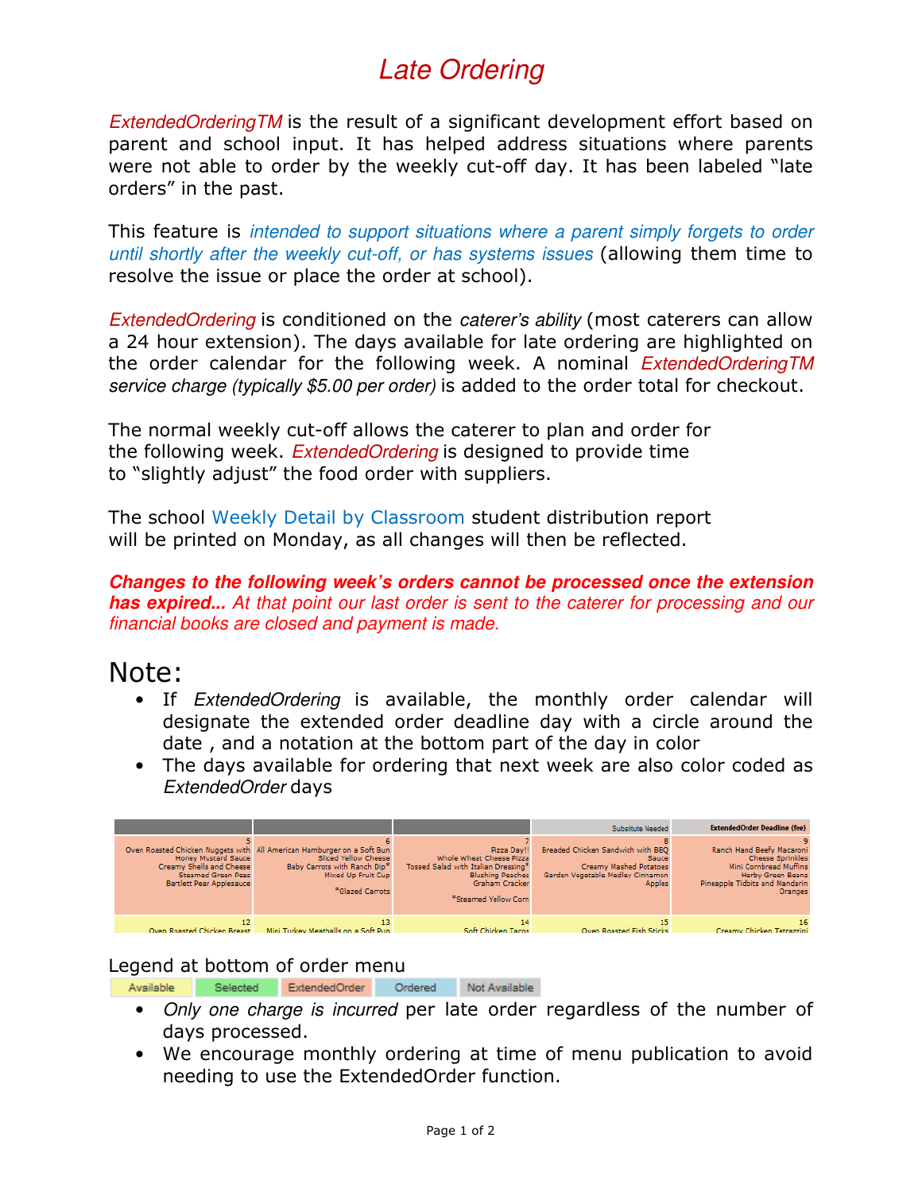## Late Ordering

ExtendedOrderingTM is the result of a significant development effort based on parent and school input. It has helped address situations where parents were not able to order by the weekly cut-off day. It has been labeled "late orders" in the past.

This feature is intended to support situations where a parent simply forgets to order until shortly after the weekly cut-off, or has systems issues (allowing them time to resolve the issue or place the order at school).

ExtendedOrdering is conditioned on the caterer's ability (most caterers can allow a 24 hour extension). The days available for late ordering are highlighted on the order calendar for the following week. A nominal *ExtendedOrderingTM* service charge (typically \$5.00 per order) is added to the order total for checkout.

The normal weekly cut-off allows the caterer to plan and order for the following week. *ExtendedOrdering* is designed to provide time to "slightly adjust" the food order with suppliers.

The school Weekly Detail by Classroom student distribution report will be printed on Monday, as all changes will then be reflected.

**Changes to the following week's orders cannot be processed once the extension has expired...** At that point our last order is sent to the caterer for processing and our financial books are closed and payment is made.

## Note:

- If ExtendedOrdering is available, the monthly order calendar will designate the extended order deadline day with a circle around the date , and a notation at the bottom part of the day in color
- The days available for ordering that next week are also color coded as ExtendedOrder days

|                                                                                                                        |                                                                                                                                                                         |                                                                                                                                                     | Substitute Needed                                                                                                         | <b>ExtendedOrder Deadline (fee)</b>                                                                                                                     |
|------------------------------------------------------------------------------------------------------------------------|-------------------------------------------------------------------------------------------------------------------------------------------------------------------------|-----------------------------------------------------------------------------------------------------------------------------------------------------|---------------------------------------------------------------------------------------------------------------------------|---------------------------------------------------------------------------------------------------------------------------------------------------------|
| <b>Honey Mustard Sauce</b><br>Creamy Shells and Cheese<br><b>Steamed Green Peas</b><br><b>Bartlett Pear Applesauce</b> | Oven Roasted Chicken Nuggets with All American Hamburger on a Soft Bun<br>Sliced Yellow Cheese<br>Baby Carrots with Ranch Dip*<br>Mixed Up Fruit Cup<br>*Glazed Carrots | Pizza Dav!!<br>Whole Wheat Cheese Pizza<br>Tossed Salad with Italian Dressing*<br><b>Blushing Peaches</b><br>Graham Cracker<br>*Steamed Yellow Corn | Breaded Chicken Sandwich with BBO<br>Sauce<br>Creamy Mashed Potatoes<br>Garden Vegetable Medley Cinnamon<br><b>Apples</b> | Ranch Hand Beefy Macaroni<br><b>Cheese Sprinkles</b><br>Mini Cornbread Muffins<br><b>Herby Green Beans</b><br>Pineapple Tidbits and Mandarin<br>Oranges |
| Oven Roasted Chicken Breast                                                                                            | Mini Turkey Meatballs on a Soft Pup                                                                                                                                     | 14<br>Soft Chicken Tacos                                                                                                                            | Oven Roasted Fish Sticks                                                                                                  | 16<br>Creamy Chicken Tetrazzini                                                                                                                         |

## Legend at bottom of order menu

Ordered Available Selected ExtendedOrder Not Available

- Only one charge is incurred per late order regardless of the number of days processed.
- We encourage monthly ordering at time of menu publication to avoid needing to use the ExtendedOrder function.